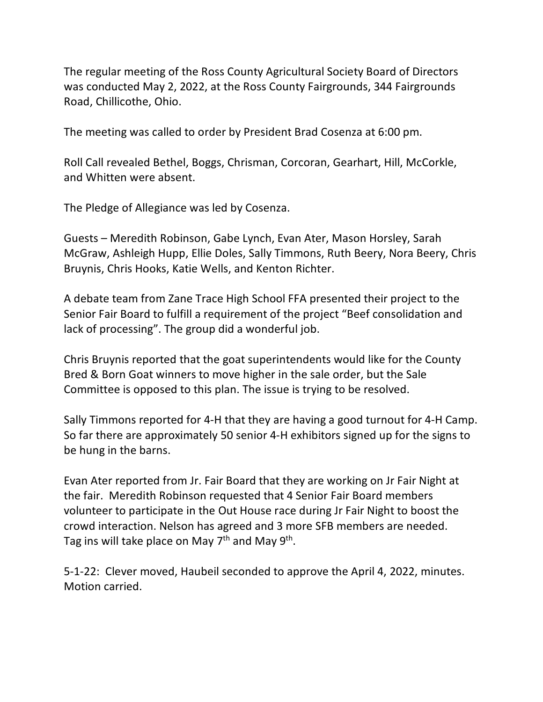The regular meeting of the Ross County Agricultural Society Board of Directors was conducted May 2, 2022, at the Ross County Fairgrounds, 344 Fairgrounds Road, Chillicothe, Ohio.

The meeting was called to order by President Brad Cosenza at 6:00 pm.

Roll Call revealed Bethel, Boggs, Chrisman, Corcoran, Gearhart, Hill, McCorkle, and Whitten were absent.

The Pledge of Allegiance was led by Cosenza.

Guests – Meredith Robinson, Gabe Lynch, Evan Ater, Mason Horsley, Sarah McGraw, Ashleigh Hupp, Ellie Doles, Sally Timmons, Ruth Beery, Nora Beery, Chris Bruynis, Chris Hooks, Katie Wells, and Kenton Richter.

A debate team from Zane Trace High School FFA presented their project to the Senior Fair Board to fulfill a requirement of the project "Beef consolidation and lack of processing". The group did a wonderful job.

Chris Bruynis reported that the goat superintendents would like for the County Bred & Born Goat winners to move higher in the sale order, but the Sale Committee is opposed to this plan. The issue is trying to be resolved.

Sally Timmons reported for 4-H that they are having a good turnout for 4-H Camp. So far there are approximately 50 senior 4-H exhibitors signed up for the signs to be hung in the barns.

Evan Ater reported from Jr. Fair Board that they are working on Jr Fair Night at the fair. Meredith Robinson requested that 4 Senior Fair Board members volunteer to participate in the Out House race during Jr Fair Night to boost the crowd interaction. Nelson has agreed and 3 more SFB members are needed. Tag ins will take place on May  $7<sup>th</sup>$  and May  $9<sup>th</sup>$ .

5-1-22: Clever moved, Haubeil seconded to approve the April 4, 2022, minutes. Motion carried.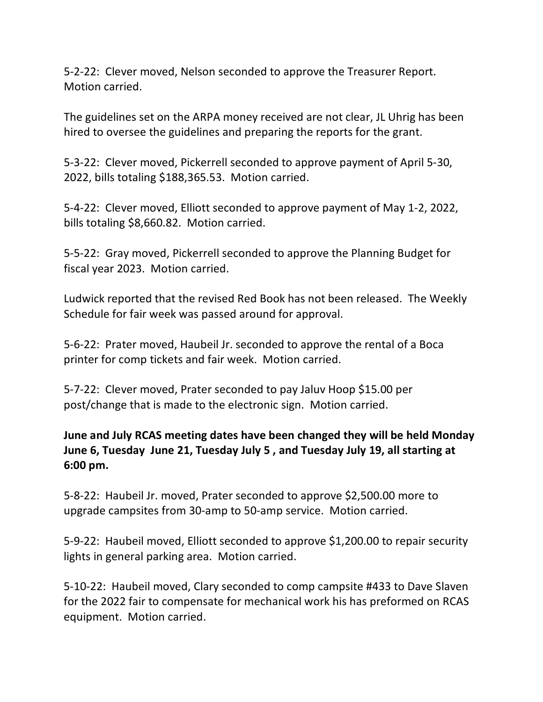5-2-22: Clever moved, Nelson seconded to approve the Treasurer Report. Motion carried.

The guidelines set on the ARPA money received are not clear, JL Uhrig has been hired to oversee the guidelines and preparing the reports for the grant.

5-3-22: Clever moved, Pickerrell seconded to approve payment of April 5-30, 2022, bills totaling \$188,365.53. Motion carried.

5-4-22: Clever moved, Elliott seconded to approve payment of May 1-2, 2022, bills totaling \$8,660.82. Motion carried.

5-5-22: Gray moved, Pickerrell seconded to approve the Planning Budget for fiscal year 2023. Motion carried.

Ludwick reported that the revised Red Book has not been released. The Weekly Schedule for fair week was passed around for approval.

5-6-22: Prater moved, Haubeil Jr. seconded to approve the rental of a Boca printer for comp tickets and fair week. Motion carried.

5-7-22: Clever moved, Prater seconded to pay Jaluv Hoop \$15.00 per post/change that is made to the electronic sign. Motion carried.

## **June and July RCAS meeting dates have been changed they will be held Monday June 6, Tuesday June 21, Tuesday July 5 , and Tuesday July 19, all starting at 6:00 pm.**

5-8-22: Haubeil Jr. moved, Prater seconded to approve \$2,500.00 more to upgrade campsites from 30-amp to 50-amp service. Motion carried.

5-9-22: Haubeil moved, Elliott seconded to approve \$1,200.00 to repair security lights in general parking area. Motion carried.

5-10-22: Haubeil moved, Clary seconded to comp campsite #433 to Dave Slaven for the 2022 fair to compensate for mechanical work his has preformed on RCAS equipment. Motion carried.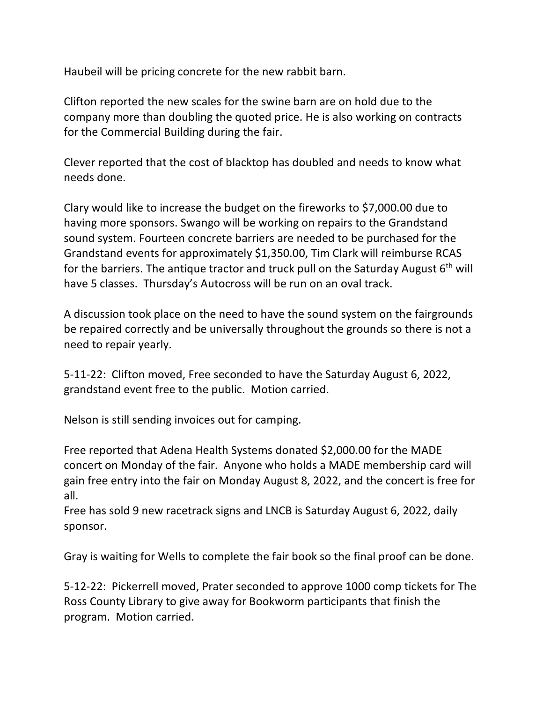Haubeil will be pricing concrete for the new rabbit barn.

Clifton reported the new scales for the swine barn are on hold due to the company more than doubling the quoted price. He is also working on contracts for the Commercial Building during the fair.

Clever reported that the cost of blacktop has doubled and needs to know what needs done.

Clary would like to increase the budget on the fireworks to \$7,000.00 due to having more sponsors. Swango will be working on repairs to the Grandstand sound system. Fourteen concrete barriers are needed to be purchased for the Grandstand events for approximately \$1,350.00, Tim Clark will reimburse RCAS for the barriers. The antique tractor and truck pull on the Saturday August  $6<sup>th</sup>$  will have 5 classes. Thursday's Autocross will be run on an oval track.

A discussion took place on the need to have the sound system on the fairgrounds be repaired correctly and be universally throughout the grounds so there is not a need to repair yearly.

5-11-22: Clifton moved, Free seconded to have the Saturday August 6, 2022, grandstand event free to the public. Motion carried.

Nelson is still sending invoices out for camping.

Free reported that Adena Health Systems donated \$2,000.00 for the MADE concert on Monday of the fair. Anyone who holds a MADE membership card will gain free entry into the fair on Monday August 8, 2022, and the concert is free for all.

Free has sold 9 new racetrack signs and LNCB is Saturday August 6, 2022, daily sponsor.

Gray is waiting for Wells to complete the fair book so the final proof can be done.

5-12-22: Pickerrell moved, Prater seconded to approve 1000 comp tickets for The Ross County Library to give away for Bookworm participants that finish the program. Motion carried.